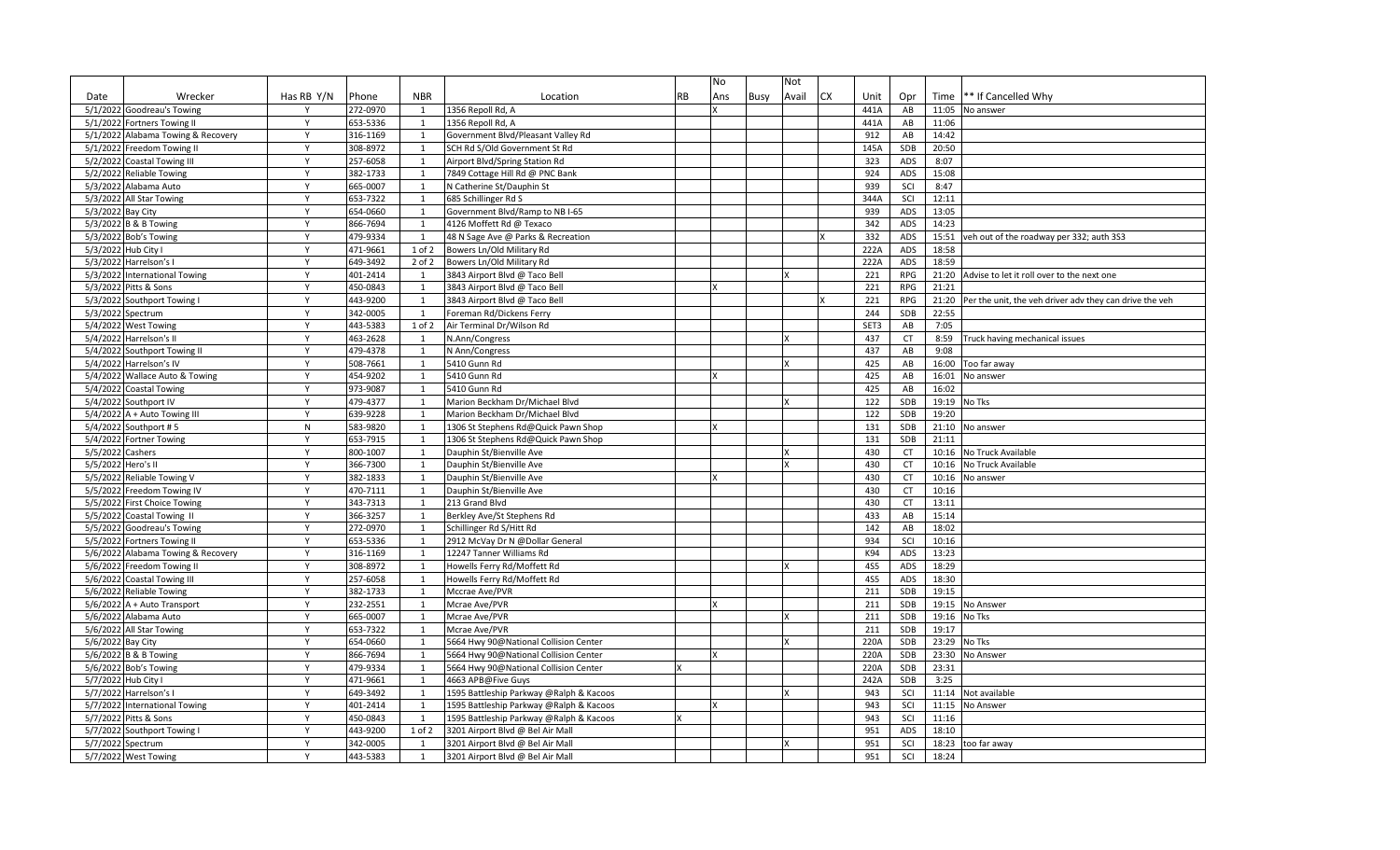|                     |                                    |              |          |              |                                         |           | No  |      | Not   |           |            |            |       |                                                         |
|---------------------|------------------------------------|--------------|----------|--------------|-----------------------------------------|-----------|-----|------|-------|-----------|------------|------------|-------|---------------------------------------------------------|
| Date                | Wrecker                            | Has RB Y/N   | Phone    | <b>NBR</b>   | Location                                | <b>RB</b> | Ans | Busy | Avail | <b>CX</b> | Unit       | Opr        | Time  | ** If Cancelled Why                                     |
|                     | 5/1/2022 Goodreau's Towing         | Y            | 272-0970 | 1            | 1356 Repoll Rd, A                       |           |     |      |       |           | 441A       | AB         | 11:05 | No answer                                               |
|                     | 5/1/2022 Fortners Towing II        | Y            | 653-5336 | 1            | 1356 Repoll Rd, A                       |           |     |      |       |           | 441A       | AB         | 11:06 |                                                         |
|                     | 5/1/2022 Alabama Towing & Recovery | Y            | 316-1169 | 1            | Government Blvd/Pleasant Valley Rd      |           |     |      |       |           | 912        | AB         | 14:42 |                                                         |
|                     | 5/1/2022 Freedom Towing II         | Y            | 308-8972 | 1            | SCH Rd S/Old Government St Rd           |           |     |      |       |           | 145A       | SDB        | 20:50 |                                                         |
|                     | 5/2/2022 Coastal Towing III        | Y            | 257-6058 | 1            | Airport Blvd/Spring Station Rd          |           |     |      |       |           | 323        | ADS        | 8:07  |                                                         |
|                     | 5/2/2022 Reliable Towing           | Y            | 382-1733 | 1            | 7849 Cottage Hill Rd @ PNC Bank         |           |     |      |       |           | 924        | ADS        | 15:08 |                                                         |
|                     | 5/3/2022 Alabama Auto              | Y            | 665-0007 | 1            | N Catherine St/Dauphin St               |           |     |      |       |           | 939        | SCI        | 8:47  |                                                         |
|                     | 5/3/2022 All Star Towing           | $\mathsf{v}$ | 653-7322 | 1            | 685 Schillinger Rd S                    |           |     |      |       |           | 344A       | SCI        | 12:11 |                                                         |
| 5/3/2022 Bay City   |                                    | Y            | 654-0660 | 1            | Government Blvd/Ramp to NB I-65         |           |     |      |       |           | 939        | ADS        | 13:05 |                                                         |
|                     | 5/3/2022 B & B Towing              | Y            | 866-7694 | 1            | 4126 Moffett Rd @ Texaco                |           |     |      |       |           | 342        | ADS        | 14:23 |                                                         |
|                     | 5/3/2022 Bob's Towing              | Y            | 479-9334 | 1            | 48 N Sage Ave @ Parks & Recreation      |           |     |      |       |           | 332        | ADS        | 15:51 | veh out of the roadway per 332; auth 3S3                |
| 5/3/2022 Hub City I |                                    | Y            | 471-9661 | 1 of 2       | Bowers Ln/Old Military Rd               |           |     |      |       |           | 222A       | <b>ADS</b> | 18:58 |                                                         |
|                     | 5/3/2022 Harrelson's I             | Y            | 649-3492 | $2$ of $2$   | Bowers Ln/Old Military Rd               |           |     |      |       |           | 222A       | ADS        | 18:59 |                                                         |
|                     | 5/3/2022 International Towing      | Y            | 401-2414 | 1            | 3843 Airport Blvd @ Taco Bell           |           |     |      |       |           | 221        | <b>RPG</b> | 21:20 | Advise to let it roll over to the next one              |
|                     | 5/3/2022 Pitts & Sons              | Y            | 450-0843 | 1            | 3843 Airport Blvd @ Taco Bell           |           |     |      |       |           | 221        | RPG        | 21:21 |                                                         |
|                     | 5/3/2022 Southport Towing I        | Y            | 443-9200 | 1            | 3843 Airport Blvd @ Taco Bell           |           |     |      |       |           | 221        | <b>RPG</b> | 21:20 | Per the unit, the veh driver adv they can drive the veh |
| 5/3/2022 Spectrum   |                                    | Y            | 342-0005 | 1            | Foreman Rd/Dickens Ferry                |           |     |      |       |           | 244        | SDB        | 22:55 |                                                         |
|                     | 5/4/2022 West Towing               | Y            | 443-5383 | $1$ of $2$   | Air Terminal Dr/Wilson Rd               |           |     |      |       |           | SET3       | AB         | 7:05  |                                                         |
|                     | 5/4/2022 Harrelson's II            | Y            | 463-2628 | 1            | N.Ann/Congress                          |           |     |      |       |           | 437        | <b>CT</b>  | 8:59  | Truck having mechanical issues                          |
|                     | 5/4/2022 Southport Towing II       | Y            | 479-4378 | 1            | N Ann/Congress                          |           |     |      |       |           | 437        | AB         | 9:08  |                                                         |
|                     | 5/4/2022 Harrelson's IV            | Y            | 508-7661 | 1            | 5410 Gunn Rd                            |           |     |      |       |           | 425        | AB         | 16:00 | Too far away                                            |
|                     | 5/4/2022 Wallace Auto & Towing     | Y            | 454-9202 | 1            | 5410 Gunn Rd                            |           |     |      |       |           | 425        | AB         | 16:01 | No answer                                               |
|                     | 5/4/2022 Coastal Towing            | Y            | 973-9087 | 1            | 5410 Gunn Rd                            |           |     |      |       |           | 425        | AB         | 16:02 |                                                         |
|                     | 5/4/2022 Southport IV              | Y            | 479-4377 | 1            | Marion Beckham Dr/Michael Blvd          |           |     |      |       |           | 122        | <b>SDB</b> | 19:19 | No Tks                                                  |
|                     | 5/4/2022 A + Auto Towing III       | Y            | 639-9228 | $\mathbf{1}$ | Marion Beckham Dr/Michael Blvd          |           |     |      |       |           | 122        | SDB        | 19:20 |                                                         |
|                     | 5/4/2022 Southport #5              | $\mathsf{N}$ | 583-9820 | 1            | 1306 St Stephens Rd@Quick Pawn Shop     |           |     |      |       |           | 131        | SDB        | 21:10 | No answer                                               |
|                     | 5/4/2022 Fortner Towing            | Y            | 653-7915 | 1            | 1306 St Stephens Rd@Quick Pawn Shop     |           |     |      |       |           | 131        | SDB        | 21:11 |                                                         |
| 5/5/2022 Cashers    |                                    | Y            | 800-1007 | 1            | Dauphin St/Bienville Ave                |           |     |      |       |           | 430        | <b>CT</b>  | 10:16 | No Truck Available                                      |
| 5/5/2022 Hero's II  |                                    | $\mathsf{v}$ | 366-7300 | 1            | Dauphin St/Bienville Ave                |           |     |      |       |           | 430        | CT         | 10:16 | No Truck Available                                      |
|                     | 5/5/2022 Reliable Towing V         | Y            | 382-1833 | 1            | Dauphin St/Bienville Ave                |           |     |      |       |           | 430        | <b>CT</b>  | 10:16 | No answer                                               |
|                     | 5/5/2022 Freedom Towing IV         | Y            | 470-7111 | 1            | Dauphin St/Bienville Ave                |           |     |      |       |           | 430        | CT         | 10:16 |                                                         |
|                     | 5/5/2022 First Choice Towing       | Y            | 343-7313 | 1            | 213 Grand Blvd                          |           |     |      |       |           | 430        | <b>CT</b>  | 13:11 |                                                         |
|                     | 5/5/2022 Coastal Towing II         | Y            | 366-3257 | 1            | Berkley Ave/St Stephens Rd              |           |     |      |       |           | 433        | AB         | 15:14 |                                                         |
|                     | 5/5/2022 Goodreau's Towing         | Y            | 272-0970 | 1            | Schillinger Rd S/Hitt Rd                |           |     |      |       |           | 142        | AB         | 18:02 |                                                         |
|                     | 5/5/2022 Fortners Towing II        | Y            | 653-5336 | 1            | 2912 McVay Dr N @Dollar General         |           |     |      |       |           | 934        | SCI        | 10:16 |                                                         |
|                     | 5/6/2022 Alabama Towing & Recovery | Y            | 316-1169 | 1            | 12247 Tanner Williams Rd                |           |     |      |       |           | K94        | ADS        | 13:23 |                                                         |
|                     | 5/6/2022 Freedom Towing II         | $\mathsf{Y}$ | 308-8972 | 1            | Howells Ferry Rd/Moffett Rd             |           |     |      |       |           | <b>4S5</b> | ADS        | 18:29 |                                                         |
|                     | 5/6/2022 Coastal Towing III        | Y            | 257-6058 | 1            | Howells Ferry Rd/Moffett Rd             |           |     |      |       |           | <b>4S5</b> | ADS        | 18:30 |                                                         |
|                     | 5/6/2022 Reliable Towing           | Y            | 382-1733 | 1            | Mccrae Ave/PVR                          |           |     |      |       |           | 211        | SDB        | 19:15 |                                                         |
|                     | $5/6/2022$ A + Auto Transport      | $\mathsf{v}$ | 232-2551 | 1            | Mcrae Ave/PVR                           |           |     |      |       |           | 211        | SDB        | 19:15 | No Answer                                               |
|                     | 5/6/2022 Alabama Auto              | $\mathsf{Y}$ | 665-0007 | $\mathbf{1}$ | Mcrae Ave/PVR                           |           |     |      |       |           | 211        | SDB        | 19:16 | No Tks                                                  |
|                     | 5/6/2022 All Star Towing           | Y            | 653-7322 | 1            | Mcrae Ave/PVR                           |           |     |      |       |           | 211        | SDB        | 19:17 |                                                         |
| 5/6/2022 Bay City   |                                    | Y            | 654-0660 | 1            | 5664 Hwy 90@National Collision Center   |           |     |      |       |           | 220A       | SDB        | 23:29 | No Tks                                                  |
|                     | 5/6/2022 B & B Towing              | Y            | 866-7694 | 1            | 5664 Hwy 90@National Collision Center   |           |     |      |       |           | 220A       | SDB        | 23:30 | No Answer                                               |
|                     | 5/6/2022 Bob's Towing              | $\mathsf{v}$ | 479-9334 | 1            | 5664 Hwy 90@National Collision Center   |           |     |      |       |           | 220A       | SDB        | 23:31 |                                                         |
| 5/7/2022 Hub City I |                                    | Y            | 471-9661 | 1            | 4663 APB@Five Guys                      |           |     |      |       |           | 242A       | SDB        | 3:25  |                                                         |
|                     | 5/7/2022 Harrelson's I             | Y            | 649-3492 | 1            | 1595 Battleship Parkway @Ralph & Kacoos |           |     |      |       |           | 943        | SCI        | 11:14 | Not available                                           |
|                     | 5/7/2022 International Towing      | Y            | 401-2414 | 1            | 1595 Battleship Parkway @Ralph & Kacoos |           |     |      |       |           | 943        | SCI        | 11:15 | No Answer                                               |
|                     | 5/7/2022 Pitts & Sons              | Y            | 450-0843 | 1            | 1595 Battleship Parkway @Ralph & Kacoos |           |     |      |       |           | 943        | SCI        | 11:16 |                                                         |
|                     | 5/7/2022 Southport Towing I        | Y            | 443-9200 | 1 of 2       | 3201 Airport Blvd @ Bel Air Mall        |           |     |      |       |           | 951        | ADS        | 18:10 |                                                         |
| 5/7/2022 Spectrum   |                                    | Y            | 342-0005 | 1            | 3201 Airport Blvd @ Bel Air Mall        |           |     |      |       |           | 951        | SCI        | 18:23 | too far away                                            |
|                     | 5/7/2022 West Towing               | Y            | 443-5383 | 1            | 3201 Airport Blvd @ Bel Air Mall        |           |     |      |       |           | 951        | SCI        | 18:24 |                                                         |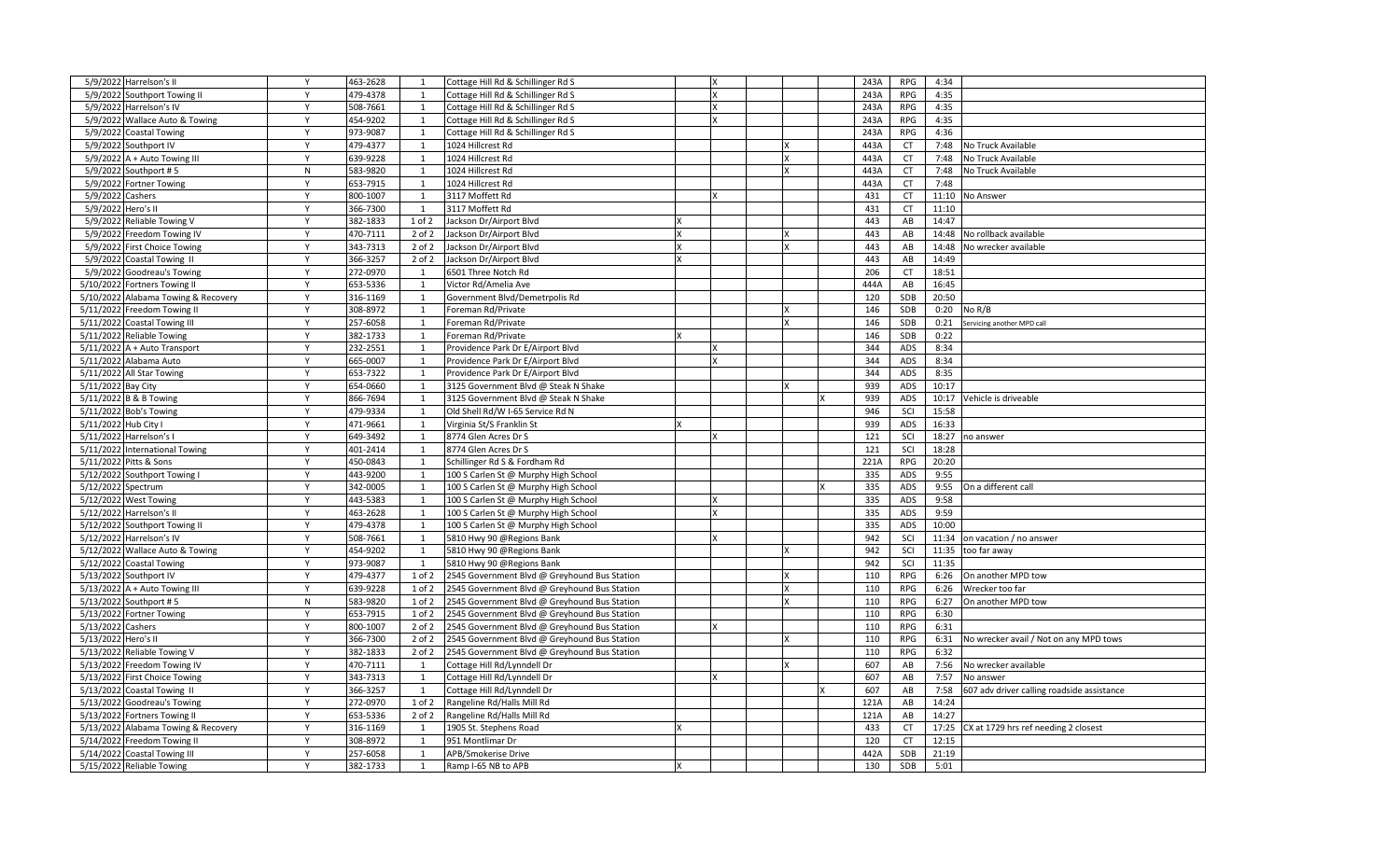| 5/9/2022 Harrelson's II                | Y            | 463-2628 | 1            | Cottage Hill Rd & Schillinger Rd S           |   |   |          | 243A | <b>RPG</b> | 4:34  |                                            |
|----------------------------------------|--------------|----------|--------------|----------------------------------------------|---|---|----------|------|------------|-------|--------------------------------------------|
| 5/9/2022 Southport Towing II           | Y            | 479-4378 | 1            | Cottage Hill Rd & Schillinger Rd S           |   |   |          | 243A | RPG        | 4:35  |                                            |
| 5/9/2022 Harrelson's IV                | Y            | 508-7661 | 1            | Cottage Hill Rd & Schillinger Rd S           |   |   |          | 243A | <b>RPG</b> | 4:35  |                                            |
| 5/9/2022 Wallace Auto & Towing         | Y            | 454-9202 | $\mathbf{1}$ | Cottage Hill Rd & Schillinger Rd S           |   |   |          | 243A | <b>RPG</b> | 4:35  |                                            |
| 5/9/2022 Coastal Towing                | Y            | 973-9087 | 1            | Cottage Hill Rd & Schillinger Rd S           |   |   |          | 243A | <b>RPG</b> | 4:36  |                                            |
| 5/9/2022 Southport IV                  | Y            | 479-4377 | 1            | 1024 Hillcrest Rd                            |   |   |          | 443A | <b>CT</b>  | 7:48  | No Truck Available                         |
| $5/9/2022$ A + Auto Towing III         | Y            | 639-9228 | 1            | 1024 Hillcrest Rd                            |   |   |          | 443A | CT         | 7:48  | No Truck Available                         |
| 5/9/2022 Southport #5                  | N            | 583-9820 | 1            | 1024 Hillcrest Rd                            |   |   |          | 443A | <b>CT</b>  | 7:48  | No Truck Available                         |
| 5/9/2022 Fortner Towing                | Y            | 653-7915 | 1            | 1024 Hillcrest Rd                            |   |   |          | 443A | <b>CT</b>  | 7:48  |                                            |
| 5/9/2022 Cashers                       | Y            | 800-1007 | 1            | 3117 Moffett Rd                              |   |   |          | 431  | CT         | 11:10 | No Answer                                  |
| 5/9/2022<br>Hero's II                  | $\mathsf{Y}$ | 366-7300 | 1            | 3117 Moffett Rd                              |   |   |          | 431  | CT         | 11:10 |                                            |
| 5/9/2022 Reliable Towing V             | Y            | 382-1833 | 1 of 2       | Jackson Dr/Airport Blvd                      | X |   |          | 443  | AB         | 14:47 |                                            |
| 5/9/2022 Freedom Towing IV             | Y            | 470-7111 | $2$ of $2$   | Jackson Dr/Airport Blvd                      |   |   | X        | 443  | AB         | 14:48 | No rollback available                      |
| 5/9/2022 First Choice Towing           | Y            | 343-7313 | 2 of 2       | Jackson Dr/Airport Blvd                      |   |   |          | 443  | AB         | 14:48 | No wrecker available                       |
| 5/9/2022 Coastal Towing II             | Y            | 366-3257 | $2$ of $2$   | Jackson Dr/Airport Blvd                      | Y |   |          | 443  | AB         | 14:49 |                                            |
| 5/9/2022 Goodreau's Towing             | Y            | 272-0970 | 1            | 6501 Three Notch Rd                          |   |   |          | 206  | CT         | 18:51 |                                            |
| 5/10/2022 Fortners Towing II           | Y            | 653-5336 | 1            | Victor Rd/Amelia Ave                         |   |   |          | 444A | AB         | 16:45 |                                            |
| 5/10/2022 Alabama Towing & Recovery    | Y            | 316-1169 | 1            | Government Blvd/Demetrpolis Rd               |   |   |          | 120  | SDB        | 20:50 |                                            |
| 5/11/2022 Freedom Towing II            | Y            | 308-8972 | 1            | Foreman Rd/Private                           |   |   | <b>x</b> | 146  | SDB        | 0:20  | No R/B                                     |
| 5/11/2022 Coastal Towing III           | Y            | 257-6058 | $\mathbf{1}$ | Foreman Rd/Private                           |   |   |          | 146  | SDB        | 0:21  | Servicing another MPD call                 |
| 5/11/2022 Reliable Towing              | Y            | 382-1733 | 1            | Foreman Rd/Private                           |   |   |          | 146  | <b>SDB</b> | 0:22  |                                            |
| $5/11/2022$ A + Auto Transport         | Y            | 232-2551 | $\mathbf{1}$ | Providence Park Dr E/Airport Blvd            |   | x |          | 344  | ADS        | 8:34  |                                            |
| 5/11/2022 Alabama Auto                 | Y            | 665-0007 | 1            | Providence Park Dr E/Airport Blvd            |   | x |          | 344  | ADS        | 8:34  |                                            |
| 5/11/2022 All Star Towing              | Y            | 653-7322 | 1            | Providence Park Dr E/Airport Blvd            |   |   |          | 344  | ADS        | 8:35  |                                            |
| 5/11/2022 Bay City                     | Y            | 654-0660 | 1            | 3125 Government Blvd @ Steak N Shake         |   |   |          | 939  | ADS        | 10:17 |                                            |
| 5/11/2022 B & B Towing                 | Y            | 866-7694 | 1            | 3125 Government Blvd @ Steak N Shake         |   |   |          | 939  | ADS        | 10:17 | Vehicle is driveable                       |
| 5/11/2022 Bob's Towing                 | Y            | 479-9334 | 1            | Old Shell Rd/W I-65 Service Rd N             |   |   |          | 946  | SCI        | 15:58 |                                            |
| 5/11/2022 Hub City I                   | Y            | 471-9661 | 1            | Virginia St/S Franklin St                    |   |   |          | 939  | ADS        | 16:33 |                                            |
| 5/11/2022 Harrelson's I                | Y            | 649-3492 | 1            | 8774 Glen Acres Dr S                         |   |   |          | 121  | SCI        | 18:27 | no answer                                  |
| 5/11/2022 International Towing         | Y            | 401-2414 | 1            | 8774 Glen Acres Dr S                         |   |   |          | 121  | SCI        | 18:28 |                                            |
| 5/11/2022 Pitts & Sons                 | Υ            | 450-0843 | $\mathbf{1}$ | Schillinger Rd S & Fordham Rd                |   |   |          | 221A | <b>RPG</b> | 20:20 |                                            |
| 5/12/2022 Southport Towing I           | Y            | 443-9200 | 1            | 100 S Carlen St @ Murphy High School         |   |   |          | 335  | <b>ADS</b> | 9:55  |                                            |
| 5/12/2022 Spectrum                     | Y            | 342-0005 | 1            | 100 S Carlen St @ Murphy High School         |   |   |          | 335  | ADS        | 9:55  | On a different call                        |
| 5/12/2022 West Towing                  | Y            | 443-5383 | 1            | 100 S Carlen St @ Murphy High School         |   |   |          | 335  | ADS        | 9:58  |                                            |
| 5/12/2022 Harrelson's II               | Y            | 463-2628 | 1            | 100 S Carlen St @ Murphy High School         |   |   |          | 335  | ADS        | 9:59  |                                            |
| 5/12/2022 Southport Towing II          | Y            | 479-4378 | 1            | 100 S Carlen St @ Murphy High School         |   |   |          | 335  | ADS        | 10:00 |                                            |
| 5/12/2022 Harrelson's IV               | Y            | 508-7661 | 1            | 5810 Hwy 90 @Regions Bank                    |   |   |          | 942  | SCI        | 11:34 | on vacation / no answer                    |
| 5/12/2022 Wallace Auto & Towing        | Y            | 454-9202 | 1            | 5810 Hwy 90 @Regions Bank                    |   |   |          | 942  | SCI        | 11:35 | too far away                               |
| 5/12/2022 Coastal Towing               | $\mathsf{Y}$ | 973-9087 | 1            | 5810 Hwy 90 @Regions Bank                    |   |   |          | 942  | SCI        | 11:35 |                                            |
| 5/13/2022 Southport IV                 | Y            | 479-4377 | 1 of 2       | 2545 Government Blvd @ Greyhound Bus Station |   |   |          | 110  | <b>RPG</b> | 6:26  | On another MPD tow                         |
| 5/13/2022 A + Auto Towing III          | Y            | 639-9228 | 1 of 2       | 2545 Government Blvd @ Greyhound Bus Station |   |   | X        | 110  | <b>RPG</b> | 6:26  | Wrecker too far                            |
| 5/13/2022 Southport #5                 | N            | 583-9820 | 1 of 2       | 2545 Government Blvd @ Greyhound Bus Station |   |   |          | 110  | <b>RPG</b> | 6:27  | On another MPD tow                         |
| 5/13/2022 Fortner Towing               | Y            | 653-7915 | $1$ of $2$   | 2545 Government Blvd @ Greyhound Bus Station |   |   |          | 110  | <b>RPG</b> | 6:30  |                                            |
| 5/13/2022 Cashers                      | Y            | 800-1007 | $2$ of $2$   | 2545 Government Blvd @ Greyhound Bus Station |   |   |          | 110  | RPG        | 6:31  |                                            |
| 5/13/2022 Hero's II                    | Y            | 366-7300 | $2$ of $2$   | 2545 Government Blvd @ Greyhound Bus Station |   |   |          | 110  | <b>RPG</b> | 6:31  | No wrecker avail / Not on any MPD tows     |
| 5/13/2022 Reliable Towing V            | $\mathsf{Y}$ | 382-1833 | $2$ of $2$   | 2545 Government Blvd @ Greyhound Bus Station |   |   |          | 110  | <b>RPG</b> | 6:32  |                                            |
| 5/13/2022 Freedom Towing IV            | Y            | 470-7111 | 1            | Cottage Hill Rd/Lynndell Dr                  |   |   | Ιx       | 607  | AB         | 7:56  | No wrecker available                       |
| 5/13/2022 First Choice Towing          | Y            | 343-7313 | 1            | Cottage Hill Rd/Lynndell Dr                  |   |   |          | 607  | AB         | 7:57  | No answer                                  |
| 5/13/2022 Coastal Towing II            | Y            | 366-3257 | 1            | Cottage Hill Rd/Lynndell Dr                  |   |   |          | 607  | AB         | 7:58  | 607 adv driver calling roadside assistance |
| 5/13/2022<br>Goodreau's Towing         | Y            | 272-0970 | 1 of 2       | Rangeline Rd/Halls Mill Rd                   |   |   |          | 121A | AB         | 14:24 |                                            |
| 5/13/2022<br><b>Fortners Towing II</b> | Y            | 653-5336 | $2$ of $2$   | Rangeline Rd/Halls Mill Rd                   |   |   |          | 121A | AB         | 14:27 |                                            |
| 5/13/2022 Alabama Towing & Recovery    | Y            | 316-1169 | 1            | 1905 St. Stephens Road                       |   |   |          | 433  | <b>CT</b>  | 17:25 | CX at 1729 hrs ref needing 2 closest       |
| 5/14/2022 Freedom Towing II            | Y            | 308-8972 | 1            | 951 Montlimar Dr                             |   |   |          | 120  | <b>CT</b>  | 12:15 |                                            |
| 5/14/2022 Coastal Towing III           | Y            | 257-6058 | 1            | APB/Smokerise Drive                          |   |   |          | 442A | SDB        | 21:19 |                                            |
| 5/15/2022 Reliable Towing              | Y            | 382-1733 | 1            | Ramp I-65 NB to APB                          |   |   |          | 130  | SDB        | 5:01  |                                            |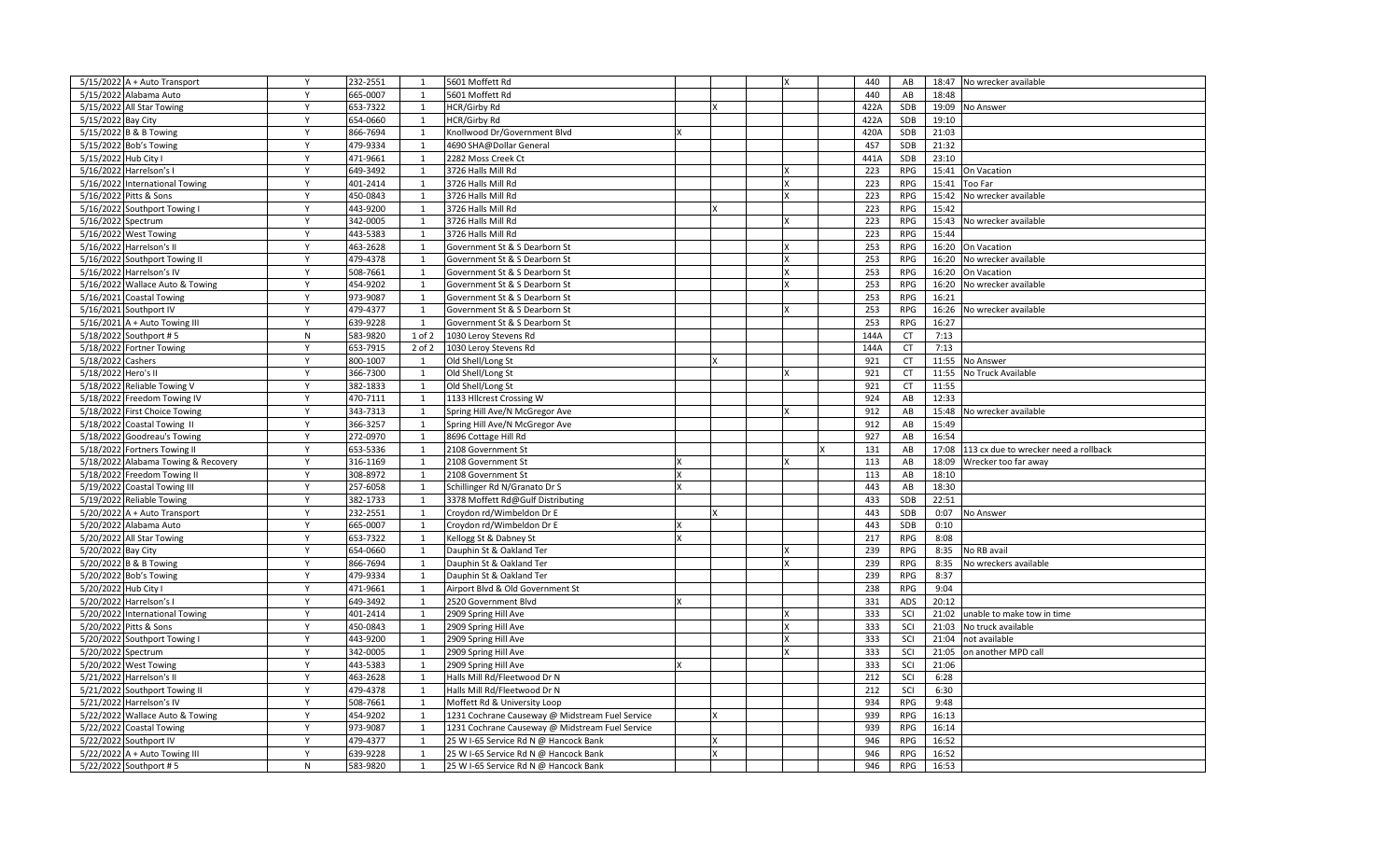| $5/15/2022$ A + Auto Transport                  | Y            | 232-2551             | 1            | 5601 Moffett Rd                                          |              |  | $\boldsymbol{\mathsf{x}}$ | 440        | AB         | 18:47 | No wrecker available                  |
|-------------------------------------------------|--------------|----------------------|--------------|----------------------------------------------------------|--------------|--|---------------------------|------------|------------|-------|---------------------------------------|
| 5/15/2022 Alabama Auto                          | Y            | 665-0007             | 1            | 5601 Moffett Rd                                          |              |  |                           | 440        | AB         | 18:48 |                                       |
| 5/15/2022 All Star Towing                       | Y            | 653-7322             | 1            | <b>HCR/Girby Rd</b>                                      |              |  |                           | 422A       | SDB        | 19:09 | No Answer                             |
| 5/15/2022 Bay City                              | Y            | 654-0660             | 1            | HCR/Girby Rd                                             |              |  |                           | 422A       | SDB        | 19:10 |                                       |
| 5/15/2022 B & B Towing                          | Y            | 866-7694             | 1            | Knollwood Dr/Government Blvd                             | x            |  |                           | 420A       | SDB        | 21:03 |                                       |
| 5/15/2022 Bob's Towing                          | Y            | 479-9334             | 1            | 4690 SHA@Dollar General                                  |              |  |                           | <b>4S7</b> | SDB        | 21:32 |                                       |
| 5/15/2022 Hub City I                            | Y            | 471-9661             | 1            | 2282 Moss Creek Ct                                       |              |  |                           | 441A       | SDB        | 23:10 |                                       |
| 5/16/2022 Harrelson's I                         | Y            | 649-3492             | 1            | 3726 Halls Mill Rd                                       |              |  |                           | 223        | RPG        | 15:41 | On Vacation                           |
| 5/16/2022 International Towing                  | Y            | 401-2414             | 1            | 3726 Halls Mill Rd                                       |              |  |                           | 223        | <b>RPG</b> | 15:41 | Too Far                               |
| 5/16/2022 Pitts & Sons                          | Y            | 450-0843             | 1            | 3726 Halls Mill Rd                                       |              |  |                           | 223        | <b>RPG</b> | 15:42 | No wrecker available                  |
| 5/16/2022 Southport Towing I                    | Y            | 443-9200             | 1            | 3726 Halls Mill Rd                                       |              |  |                           | 223        | <b>RPG</b> | 15:42 |                                       |
| 5/16/2022 Spectrum                              | Y            | 342-0005             | 1            | 3726 Halls Mill Rd                                       |              |  |                           | 223        | <b>RPG</b> | 15:43 | No wrecker available                  |
| 5/16/2022 West Towing                           | Y            | 443-5383             | 1            | 3726 Halls Mill Rd                                       |              |  |                           | 223        | <b>RPG</b> | 15:44 |                                       |
| 5/16/2022 Harrelson's II                        | $\mathsf{v}$ | 463-2628             | 1            | Government St & S Dearborn St                            |              |  |                           | 253        | <b>RPG</b> | 16:20 | On Vacation                           |
| 5/16/2022 Southport Towing II                   | Y            | 479-4378             | 1            | Government St & S Dearborn St                            |              |  |                           | 253        | RPG        | 16:20 | No wrecker available                  |
| 5/16/2022 Harrelson's IV                        | Y            | 508-7661             | 1            | Government St & S Dearborn St                            |              |  |                           | 253        | <b>RPG</b> | 16:20 | On Vacation                           |
| 5/16/2022 Wallace Auto & Towing                 | Y            | 454-9202             | 1            | Government St & S Dearborn St                            |              |  |                           | 253        | <b>RPG</b> | 16:20 | No wrecker available                  |
| 5/16/2021 Coastal Towing                        | Y            | 973-9087             | 1            | Government St & S Dearborn St                            |              |  |                           | 253        | <b>RPG</b> | 16:21 |                                       |
| 5/16/2021 Southport IV                          | Y            | 479-4377             | 1            | Government St & S Dearborn St                            |              |  |                           | 253        | RPG        | 16:26 | No wrecker available                  |
| 5/16/2021 A + Auto Towing III                   | Y            | 639-9228             | 1            | Government St & S Dearborn St                            |              |  |                           | 253        | <b>RPG</b> | 16:27 |                                       |
| 5/18/2022 Southport #5                          | N            | 583-9820             | $1$ of $2$   | 1030 Leroy Stevens Rd                                    |              |  |                           | 144A       | CT         | 7:13  |                                       |
| 5/18/2022 Fortner Towing                        | Y            | 653-7915             | $2$ of $2$   | 1030 Leroy Stevens Rd                                    |              |  |                           | 144A       | CT         | 7:13  |                                       |
| 5/18/2022 Cashers                               | Y            | 800-1007             | 1            | Old Shell/Long St                                        |              |  |                           | 921        | CT         | 11:55 | No Answer                             |
| 5/18/2022 Hero's II                             | Y            | 366-7300             | 1            | Old Shell/Long St                                        |              |  |                           | 921        | CT         | 11:55 | No Truck Available                    |
| 5/18/2022 Reliable Towing V                     | Y            | 382-1833             | 1            | Old Shell/Long St                                        |              |  |                           | 921        | <b>CT</b>  | 11:55 |                                       |
| 5/18/2022 Freedom Towing IV                     | Y            | 470-7111             | 1            | 1133 Hllcrest Crossing W                                 |              |  |                           | 924        | AB         | 12:33 |                                       |
| 5/18/2022 First Choice Towing                   | Y            | 343-7313             | 1            | Spring Hill Ave/N McGregor Ave                           |              |  |                           | 912        | AB         | 15:48 | No wrecker available                  |
| 5/18/2022 Coastal Towing II                     | Y            | 366-3257             | 1            | Spring Hill Ave/N McGregor Ave                           |              |  |                           | 912        | AB         | 15:49 |                                       |
| 5/18/2022 Goodreau's Towing                     | Y            | 272-0970             | 1            | 8696 Cottage Hill Rd                                     |              |  |                           | 927        | AB         | 16:54 |                                       |
| 5/18/2022 Fortners Towing II                    | Y            | 653-5336             | 1            | 2108 Government St                                       |              |  |                           | 131        | AB         | 17:08 | 113 cx due to wrecker need a rollback |
| 5/18/2022 Alabama Towing & Recovery             | Y            | 316-1169             | 1            | 2108 Government St                                       |              |  |                           | 113        | AB         | 18:09 | Wrecker too far away                  |
| 5/18/2022 Freedom Towing II                     | Y            | 308-8972             | 1            | 2108 Government St                                       | $\mathbf{x}$ |  |                           | 113        | AB         | 18:10 |                                       |
| 5/19/2022 Coastal Towing III                    | Y            | 257-6058             | 1            | Schillinger Rd N/Granato Dr S                            | $\mathsf{x}$ |  |                           | 443        | AB         | 18:30 |                                       |
| 5/19/2022 Reliable Towing                       | Y            | 382-1733             | 1            | 3378 Moffett Rd@Gulf Distributing                        |              |  |                           | 433        | SDB        | 22:51 |                                       |
| $5/20/2022$ A + Auto Transport                  | Y            | 232-2551             | 1            | Croydon rd/Wimbeldon Dr E                                |              |  |                           | 443        | SDB        | 0:07  | No Answer                             |
| 5/20/2022 Alabama Auto                          | Y            | 665-0007             | 1            | Croydon rd/Wimbeldon Dr E                                |              |  |                           | 443        | SDB        | 0:10  |                                       |
| 5/20/2022 All Star Towing                       | Y            | 553-7322             | 1            | Kellogg St & Dabney St                                   |              |  |                           | 217        | <b>RPG</b> | 8:08  |                                       |
| 5/20/2022 Bay City                              | Y            | 654-0660             | 1            | Dauphin St & Oakland Ter                                 |              |  |                           | 239        | <b>RPG</b> | 8:35  | No RB avail                           |
| 5/20/2022 B & B Towing                          | $\mathsf{Y}$ | 866-7694             | $\mathbf{1}$ | Dauphin St & Oakland Ter                                 |              |  |                           | 239        | <b>RPG</b> | 8:35  | No wreckers available                 |
| 5/20/2022 Bob's Towing                          | Y            | 479-9334             | 1            | Dauphin St & Oakland Ter                                 |              |  |                           | 239        | <b>RPG</b> | 8:37  |                                       |
|                                                 | Y            | 471-9661             | 1            |                                                          |              |  |                           | 238        | <b>RPG</b> | 9:04  |                                       |
| 5/20/2022 Hub City I<br>5/20/2022 Harrelson's I | $\mathsf{v}$ | 649-3492             | 1            | Airport Blvd & Old Government St<br>2520 Government Blvd |              |  |                           | 331        | ADS        | 20:12 |                                       |
| 5/20/2022 International Towing                  | Y            | 401-2414             | 1            | 2909 Spring Hill Ave                                     |              |  |                           | 333        | SCI        | 21:02 | unable to make tow in time            |
|                                                 | Y            | 450-0843             |              | 2909 Spring Hill Ave                                     |              |  |                           | 333        | SCI        | 21:03 | No truck available                    |
| 5/20/2022 Pitts & Sons                          | $\mathsf{v}$ |                      | 1            |                                                          |              |  |                           |            |            |       |                                       |
| 5/20/2022 Southport Towing I                    | $\mathsf{Y}$ | 443-9200<br>342-0005 | 1            | 2909 Spring Hill Ave                                     |              |  |                           | 333<br>333 | SCI<br>SCI | 21:04 | not available                         |
| 5/20/2022 Spectrum                              |              |                      | 1            | 2909 Spring Hill Ave                                     |              |  |                           |            |            | 21:05 | on another MPD call                   |
| 5/20/2022 West Towing                           | Y            | 443-5383             | 1            | 2909 Spring Hill Ave                                     | x            |  |                           | 333        | SCI        | 21:06 |                                       |
| 5/21/2022 Harrelson's II                        | Y<br>Y       | 463-2628             | 1            | Halls Mill Rd/Fleetwood Dr N                             |              |  |                           | 212        | SCI        | 6:28  |                                       |
| 5/21/2022 Southport Towing II                   |              | 179-4378             | 1            | Halls Mill Rd/Fleetwood Dr N                             |              |  |                           | 212        | SCI        | 6:30  |                                       |
| 5/21/2022 Harrelson's IV                        | Y            | 508-7661             | 1            | Moffett Rd & University Loop                             |              |  |                           | 934        | RPG        | 9:48  |                                       |
| 5/22/2022 Wallace Auto & Towing                 | Y            | 454-9202             | 1            | 1231 Cochrane Causeway @ Midstream Fuel Service          |              |  |                           | 939        | <b>RPG</b> | 16:13 |                                       |
| 5/22/2022 Coastal Towing                        | Y            | 973-9087             | 1            | 1231 Cochrane Causeway @ Midstream Fuel Service          |              |  |                           | 939        | RPG        | 16:14 |                                       |
| 5/22/2022 Southport IV                          | Y            | 479-4377             | 1            | 25 W I-65 Service Rd N @ Hancock Bank                    |              |  |                           | 946        | <b>RPG</b> | 16:52 |                                       |
| 5/22/2022 A + Auto Towing III                   | Y            | 639-9228             | 1            | 25 W I-65 Service Rd N @ Hancock Bank                    | x            |  |                           | 946        | <b>RPG</b> | 16:52 |                                       |
| 5/22/2022 Southport #5                          | N            | 583-9820             | 1            | 25 W I-65 Service Rd N @ Hancock Bank                    |              |  |                           | 946        | <b>RPG</b> | 16:53 |                                       |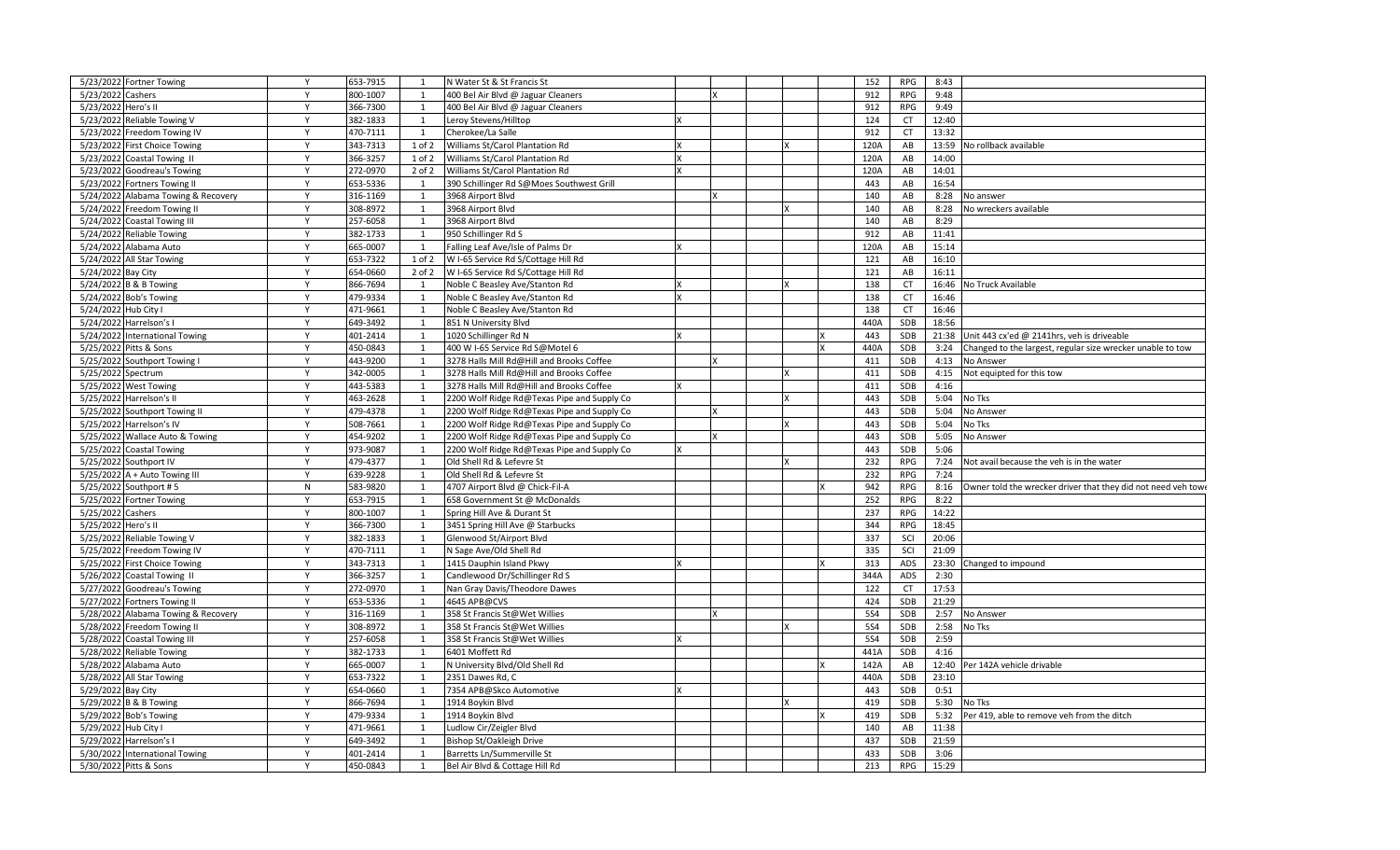| 5/23/2022 Fortner Towing            | Y | 653-7915 | 1            | N Water St & St Francis St                  |   |   |  | 152        | <b>RPG</b> | 8:43  |                                                               |
|-------------------------------------|---|----------|--------------|---------------------------------------------|---|---|--|------------|------------|-------|---------------------------------------------------------------|
| 5/23/2022 Cashers                   | Y | 800-1007 | 1            | 400 Bel Air Blvd @ Jaguar Cleaners          |   |   |  | 912        | <b>RPG</b> | 9:48  |                                                               |
| 5/23/2022 Hero's II                 | Y | 366-7300 | 1            | 400 Bel Air Blvd @ Jaguar Cleaners          |   |   |  | 912        | <b>RPG</b> | 9:49  |                                                               |
| 5/23/2022 Reliable Towing V         | Y | 382-1833 | 1            | Leroy Stevens/Hilltop                       |   |   |  | 124        | <b>CT</b>  | 12:40 |                                                               |
| 5/23/2022 Freedom Towing IV         | Y | 470-7111 | 1            | Cherokee/La Salle                           |   |   |  | 912        | <b>CT</b>  | 13:32 |                                                               |
| 5/23/2022 First Choice Towing       | Y | 343-7313 | $1$ of $2$   | Williams St/Carol Plantation Rd             |   |   |  | 120A       | AB         | 13:59 | No rollback available                                         |
| 5/23/2022 Coastal Towing II         | Y | 366-3257 | 1 of 2       | Williams St/Carol Plantation Rd             |   |   |  | 120A       | AB         | 14:00 |                                                               |
| 5/23/2022 Goodreau's Towing         | Y | 272-0970 | $2$ of $2$   | Williams St/Carol Plantation Rd             | x |   |  | 120A       | AB         | 14:01 |                                                               |
| 5/23/2022 Fortners Towing II        | Y | 653-5336 | 1            | 390 Schillinger Rd S@Moes Southwest Grill   |   |   |  | 443        | AB         | 16:54 |                                                               |
| 5/24/2022 Alabama Towing & Recovery | Y | 316-1169 | 1            | 3968 Airport Blvd                           |   |   |  | 140        | AB         | 8:28  | No answer                                                     |
| 5/24/2022 Freedom Towing II         | Y | 308-8972 | 1            | 3968 Airport Blvd                           |   |   |  | 140        | AB         | 8:28  | No wreckers available                                         |
| 5/24/2022 Coastal Towing III        | Y | 257-6058 | 1            | 3968 Airport Blvd                           |   |   |  | 140        | AB         | 8:29  |                                                               |
| 5/24/2022 Reliable Towing           | Y | 382-1733 | 1            | 950 Schillinger Rd S                        |   |   |  | 912        | AB         | 11:41 |                                                               |
| 5/24/2022 Alabama Auto              | Y | 665-0007 | 1            | Falling Leaf Ave/Isle of Palms Dr           |   |   |  | 120A       | AB         | 15:14 |                                                               |
| 5/24/2022 All Star Towing           | Y | 653-7322 | $1$ of $2$   | W I-65 Service Rd S/Cottage Hill Rd         |   |   |  | 121        | AB         | 16:10 |                                                               |
| 5/24/2022 Bay City                  | Y | 654-0660 | $2$ of $2$   | W I-65 Service Rd S/Cottage Hill Rd         |   |   |  | 121        | AB         | 16:11 |                                                               |
| 5/24/2022 B & B Towing              | Y | 866-7694 | 1            | Noble C Beasley Ave/Stanton Rd              |   |   |  | 138        | <b>CT</b>  | 16:46 | No Truck Available                                            |
| 5/24/2022 Bob's Towing              | Y | 479-9334 | 1            | Noble C Beasley Ave/Stanton Rd              | x |   |  | 138        | <b>CT</b>  | 16:46 |                                                               |
| 5/24/2022 Hub City I                | Y | 471-9661 | 1            | Noble C Beasley Ave/Stanton Rd              |   |   |  | 138        | <b>CT</b>  | 16:46 |                                                               |
| 5/24/2022 Harrelson's I             | Y | 649-3492 | 1            | 851 N University Blvd                       |   |   |  | 440A       | SDB        | 18:56 |                                                               |
| 5/24/2022 International Towing      | Y | 401-2414 | $\mathbf{1}$ | 1020 Schillinger Rd N                       |   |   |  | 443        | SDB        | 21:38 | Unit 443 cx'ed @ 2141hrs, veh is driveable                    |
| 5/25/2022 Pitts & Sons              | Y | 450-0843 | 1            | 400 W I-65 Service Rd S@Motel 6             |   |   |  | 440A       | SDB        | 3:24  | Changed to the largest, regular size wrecker unable to tow    |
| 5/25/2022 Southport Towing I        | Y | 443-9200 | 1            | 3278 Halls Mill Rd@Hill and Brooks Coffee   |   | x |  | 411        | SDB        | 4:13  | No Answer                                                     |
| 5/25/2022 Spectrum                  | Y | 342-0005 | 1            | 3278 Halls Mill Rd@Hill and Brooks Coffee   |   |   |  | 411        | SDB        | 4:15  | Not equipted for this tow                                     |
| 5/25/2022 West Towing               | Y | 443-5383 | 1            | 3278 Halls Mill Rd@Hill and Brooks Coffee   |   |   |  | 411        | SDB        | 4:16  |                                                               |
| 5/25/2022 Harrelson's II            | Y | 463-2628 | 1            | 2200 Wolf Ridge Rd@Texas Pipe and Supply Co |   |   |  | 443        | SDB        | 5:04  | No Tks                                                        |
| 5/25/2022 Southport Towing II       | Y | 479-4378 | 1            | 2200 Wolf Ridge Rd@Texas Pipe and Supply Co |   |   |  | 443        | SDB        | 5:04  | No Answer                                                     |
| 5/25/2022 Harrelson's IV            | Y | 508-7661 | 1            | 2200 Wolf Ridge Rd@Texas Pipe and Supply Co |   |   |  | 443        | SDB        | 5:04  | <b>Jo Tks</b>                                                 |
| 5/25/2022 Wallace Auto & Towing     | Y | 454-9202 | 1            | 2200 Wolf Ridge Rd@Texas Pipe and Supply Co |   |   |  | 443        | SDB        | 5:05  | No Answer                                                     |
| 5/25/2022 Coastal Towing            | Y | 973-9087 | 1            | 2200 Wolf Ridge Rd@Texas Pipe and Supply Co |   |   |  | 443        | SDB        | 5:06  |                                                               |
| 5/25/2022 Southport IV              | Y | 479-4377 | 1            | Old Shell Rd & Lefevre St                   |   |   |  | 232        | <b>RPG</b> | 7:24  | Not avail because the veh is in the water                     |
| 5/25/2022 A + Auto Towing III       | Y | 639-9228 | 1            | Old Shell Rd & Lefevre St                   |   |   |  | 232        | <b>RPG</b> | 7:24  |                                                               |
| 5/25/2022 Southport #5              | N | 583-9820 | 1            | 4707 Airport Blvd @ Chick-Fil-A             |   |   |  | 942        | <b>RPG</b> | 8:16  | Owner told the wrecker driver that they did not need veh towe |
| 5/25/2022 Fortner Towing            | Υ | 653-7915 | 1            | 658 Government St @ McDonalds               |   |   |  | 252        | <b>RPG</b> | 8:22  |                                                               |
| 5/25/2022 Cashers                   | Y | 800-1007 | 1            | Spring Hill Ave & Durant St                 |   |   |  | 237        | <b>RPG</b> | 14:22 |                                                               |
| 5/25/2022 Hero's II                 | Y | 366-7300 | 1            | 3451 Spring Hill Ave @ Starbucks            |   |   |  | 344        | <b>RPG</b> | 18:45 |                                                               |
| 5/25/2022 Reliable Towing V         | Y | 382-1833 | 1            | Glenwood St/Airport Blvd                    |   |   |  | 337        | SCI        | 20:06 |                                                               |
| 5/25/2022 Freedom Towing IV         | Y | 470-7111 | 1            | N Sage Ave/Old Shell Rd                     |   |   |  | 335        | SCI        | 21:09 |                                                               |
| 5/25/2022 First Choice Towing       | Y | 343-7313 | 1            | 1415 Dauphin Island Pkwy                    |   |   |  | 313        | ADS        | 23:30 | Changed to impound                                            |
| 5/26/2022 Coastal Towing II         | Υ | 366-3257 | 1            | Candlewood Dr/Schillinger Rd S              |   |   |  | 344A       | ADS        | 2:30  |                                                               |
| 5/27/2022 Goodreau's Towing         | Y | 272-0970 | 1            | Nan Gray Davis/Theodore Dawes               |   |   |  | 122        | <b>CT</b>  | 17:53 |                                                               |
| 5/27/2022 Fortners Towing II        | Y | 653-5336 | 1            | 4645 APB@CVS                                |   |   |  | 424        | SDB        | 21:29 |                                                               |
| 5/28/2022 Alabama Towing & Recovery | Y | 316-1169 | 1            | 358 St Francis St@Wet Willies               |   |   |  | <b>5S4</b> | SDB        | 2:57  | No Answer                                                     |
| 5/28/2022 Freedom Towing II         | Y | 308-8972 | 1            | 358 St Francis St@Wet Willies               |   |   |  | <b>5S4</b> | SDB        | 2:58  | No Tks                                                        |
| 5/28/2022 Coastal Towing III        | Y | 257-6058 | 1            | 358 St Francis St@Wet Willies               |   |   |  | <b>5S4</b> | SDB        | 2:59  |                                                               |
| 5/28/2022 Reliable Towing           | Y | 382-1733 | 1            | 6401 Moffett Rd                             |   |   |  | 441A       | SDB        | 4:16  |                                                               |
| 5/28/2022 Alabama Auto              | Y | 665-0007 | 1            | N University Blvd/Old Shell Rd              |   |   |  | 142A       | AB         | 12:40 | Per 142A vehicle drivable                                     |
| 5/28/2022 All Star Towing           | Y | 653-7322 | 1            | 2351 Dawes Rd, C                            |   |   |  | 440A       | SDB        | 23:10 |                                                               |
| 5/29/2022 Bay City                  | Y | 654-0660 | 1            | 7354 APB@Skco Automotive                    |   |   |  | 443        | SDB        | 0:51  |                                                               |
| 5/29/2022 B & B Towing              | Y | 866-7694 | 1            | 1914 Boykin Blvd                            |   |   |  | 419        | SDB        | 5:30  | No Tks                                                        |
| 5/29/2022 Bob's Towing              | Y | 479-9334 | $\mathbf{1}$ | 1914 Boykin Blvd                            |   |   |  | 419        | SDB        | 5:32  | Per 419, able to remove veh from the ditch                    |
| 5/29/2022 Hub City I                | Y | 471-9661 | 1            | Ludlow Cir/Zeigler Blvd                     |   |   |  | 140        | AB         | 11:38 |                                                               |
| 5/29/2022 Harrelson's I             | Y | 649-3492 | 1            | Bishop St/Oakleigh Drive                    |   |   |  | 437        | SDB        | 21:59 |                                                               |
| 5/30/2022 International Towing      | Y | 401-2414 | $\mathbf{1}$ | Barretts Ln/Summerville St                  |   |   |  | 433        | SDB        | 3:06  |                                                               |
| 5/30/2022 Pitts & Sons              | Y | 450-0843 | 1            | Bel Air Blvd & Cottage Hill Rd              |   |   |  | 213        | RPG        | 15:29 |                                                               |
|                                     |   |          |              |                                             |   |   |  |            |            |       |                                                               |